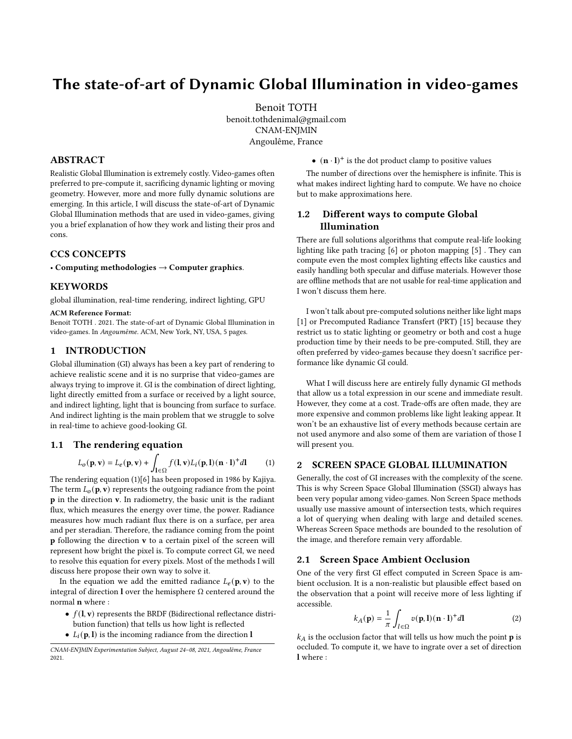# The state-of-art of Dynamic Global Illumination in video-games

Benoit TOTH benoit.tothdenimal@gmail.com CNAM-ENJMIN Angoulême, France

# ABSTRACT

Realistic Global Illumination is extremely costly. Video-games often preferred to pre-compute it, sacrificing dynamic lighting or moving geometry. However, more and more fully dynamic solutions are emerging. In this article, I will discuss the state-of-art of Dynamic Global Illumination methods that are used in video-games, giving you a brief explanation of how they work and listing their pros and cons.

# CCS CONCEPTS

• Computing methodologies  $\rightarrow$  Computer graphics.

# **KEYWORDS**

global illumination, real-time rendering, indirect lighting, GPU

#### ACM Reference Format:

Benoit TOTH . 2021. The state-of-art of Dynamic Global Illumination in video-games. In Angoumême. ACM, New York, NY, USA, [5](#page-4-0) pages.

## 1 INTRODUCTION

Global illumination (GI) always has been a key part of rendering to achieve realistic scene and it is no surprise that video-games are always trying to improve it. GI is the combination of direct lighting, light directly emitted from a surface or received by a light source, and indirect lighting, light that is bouncing from surface to surface. And indirect lighting is the main problem that we struggle to solve in real-time to achieve good-looking GI.

#### 1.1 The rendering equation

$$
L_o(\mathbf{p}, \mathbf{v}) = L_e(\mathbf{p}, \mathbf{v}) + \int_{\mathbf{l} \in \Omega} f(\mathbf{l}, \mathbf{v}) L_i(\mathbf{p}, \mathbf{l}) (\mathbf{n} \cdot \mathbf{l})^+ d\mathbf{l} \tag{1}
$$

The rendering equation (1)[\[6\]](#page-4-1) has been proposed in 1986 by Kajiya. The term  $L_0(\mathbf{p}, \mathbf{v})$  represents the outgoing radiance from the point p in the direction v. In radiometry, the basic unit is the radiant flux, which measures the energy over time, the power. Radiance measures how much radiant flux there is on a surface, per area and per steradian. Therefore, the radiance coming from the point p following the direction v to a certain pixel of the screen will represent how bright the pixel is. To compute correct GI, we need to resolve this equation for every pixels. Most of the methods I will discuss here propose their own way to solve it.

In the equation we add the emitted radiance  $L_e(\mathbf{p}, \mathbf{v})$  to the integral of direction  $\bf{l}$  over the hemisphere  $\Omega$  centered around the normal n where :

- $f(\mathbf{l}, \mathbf{v})$  represents the BRDF (Bidirectional reflectance distribution function) that tells us how light is reflected
- $L_i(\mathbf{p}, \mathbf{l})$  is the incoming radiance from the direction **l**

 $\bullet$  (**n**  $\cdot$  l)<sup>+</sup> is the dot product clamp to positive values

The number of directions over the hemisphere is infinite. This is what makes indirect lighting hard to compute. We have no choice but to make approximations here.

# 1.2 Different ways to compute Global Illumination

There are full solutions algorithms that compute real-life looking lighting like path tracing [\[6\]](#page-4-1) or photon mapping [\[5\]](#page-4-2) . They can compute even the most complex lighting effects like caustics and easily handling both specular and diffuse materials. However those are offline methods that are not usable for real-time application and I won't discuss them here.

I won't talk about pre-computed solutions neither like light maps [\[1\]](#page-4-3) or Precomputed Radiance Transfert (PRT) [\[15\]](#page-4-4) because they restrict us to static lighting or geometry or both and cost a huge production time by their needs to be pre-computed. Still, they are often preferred by video-games because they doesn't sacrifice performance like dynamic GI could.

What I will discuss here are entirely fully dynamic GI methods that allow us a total expression in our scene and immediate result. However, they come at a cost. Trade-offs are often made, they are more expensive and common problems like light leaking appear. It won't be an exhaustive list of every methods because certain are not used anymore and also some of them are variation of those I will present you.

## 2 SCREEN SPACE GLOBAL ILLUMINATION

Generally, the cost of GI increases with the complexity of the scene. This is why Screen Space Global Illumination (SSGI) always has been very popular among video-games. Non Screen Space methods usually use massive amount of intersection tests, which requires a lot of querying when dealing with large and detailed scenes. Whereas Screen Space methods are bounded to the resolution of the image, and therefore remain very affordable.

# 2.1 Screen Space Ambient Occlusion

One of the very first GI effect computed in Screen Space is ambient occlusion. It is a non-realistic but plausible effect based on the observation that a point will receive more of less lighting if accessible.

$$
k_A(\mathbf{p}) = \frac{1}{\pi} \int_{l \in \Omega} v(\mathbf{p}, \mathbf{l}) (\mathbf{n} \cdot \mathbf{l})^+ d\mathbf{l}
$$
 (2)

 $k_A$  is the occlusion factor that will tells us how much the point  $\bf p$  is occluded. To compute it, we have to ingrate over a set of direction l where :

CNAM-ENJMIN Experimentation Subject, August 24–08, 2021, Angoulême, France 2021.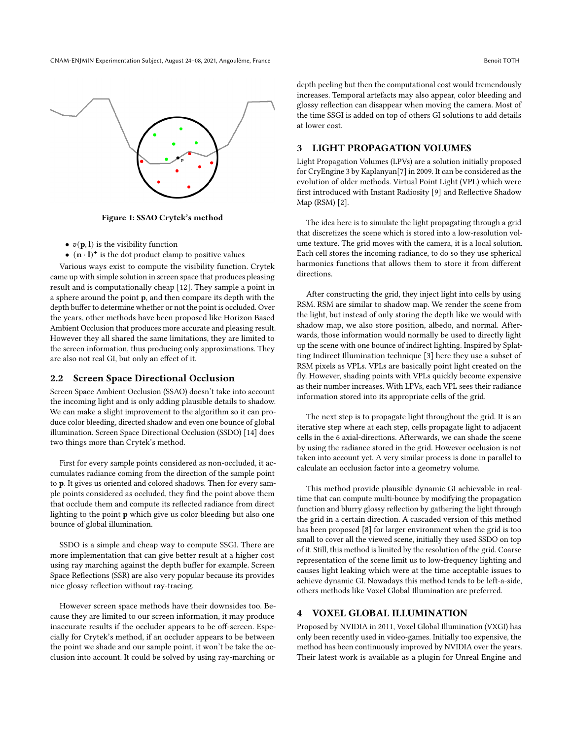CNAM-ENJMIN Experimentation Subject, August 24–08, 2021, Angoulême, France Benoit TOTH



Figure 1: SSAO Crytek's method

- $v(\mathbf{p}, \mathbf{l})$  is the visibility function
- $\bullet$   $(n \cdot l)^+$  is the dot product clamp to positive values

Various ways exist to compute the visibility function. Crytek came up with simple solution in screen space that produces pleasing result and is computationally cheap [\[12\]](#page-4-5). They sample a point in a sphere around the point p, and then compare its depth with the depth buffer to determine whether or not the point is occluded. Over the years, other methods have been proposed like Horizon Based Ambient Occlusion that produces more accurate and pleasing result. However they all shared the same limitations, they are limited to the screen information, thus producing only approximations. They are also not real GI, but only an effect of it.

#### 2.2 Screen Space Directional Occlusion

Screen Space Ambient Occlusion (SSAO) doesn't take into account the incoming light and is only adding plausible details to shadow. We can make a slight improvement to the algorithm so it can produce color bleeding, directed shadow and even one bounce of global illumination. Screen Space Directional Occlusion (SSDO) [\[14\]](#page-4-6) does two things more than Crytek's method.

First for every sample points considered as non-occluded, it accumulates radiance coming from the direction of the sample point to p. It gives us oriented and colored shadows. Then for every sample points considered as occluded, they find the point above them that occlude them and compute its reflected radiance from direct lighting to the point p which give us color bleeding but also one bounce of global illumination.

SSDO is a simple and cheap way to compute SSGI. There are more implementation that can give better result at a higher cost using ray marching against the depth buffer for example. Screen Space Reflections (SSR) are also very popular because its provides nice glossy reflection without ray-tracing.

However screen space methods have their downsides too. Because they are limited to our screen information, it may produce inaccurate results if the occluder appears to be off-screen. Especially for Crytek's method, if an occluder appears to be between the point we shade and our sample point, it won't be take the occlusion into account. It could be solved by using ray-marching or

depth peeling but then the computational cost would tremendously increases. Temporal artefacts may also appear, color bleeding and glossy reflection can disappear when moving the camera. Most of the time SSGI is added on top of others GI solutions to add details at lower cost.

## 3 LIGHT PROPAGATION VOLUMES

Light Propagation Volumes (LPVs) are a solution initially proposed for CryEngine 3 by Kaplanyan[\[7\]](#page-4-7) in 2009. It can be considered as the evolution of older methods. Virtual Point Light (VPL) which were first introduced with Instant Radiosity [\[9\]](#page-4-8) and Reflective Shadow Map (RSM) [\[2\]](#page-4-9).

The idea here is to simulate the light propagating through a grid that discretizes the scene which is stored into a low-resolution volume texture. The grid moves with the camera, it is a local solution. Each cell stores the incoming radiance, to do so they use spherical harmonics functions that allows them to store it from different directions.

After constructing the grid, they inject light into cells by using RSM. RSM are similar to shadow map. We render the scene from the light, but instead of only storing the depth like we would with shadow map, we also store position, albedo, and normal. Afterwards, those information would normally be used to directly light up the scene with one bounce of indirect lighting. Inspired by Splatting Indirect Illumination technique [\[3\]](#page-4-10) here they use a subset of RSM pixels as VPLs. VPLs are basically point light created on the fly. However, shading points with VPLs quickly become expensive as their number increases. With LPVs, each VPL sees their radiance information stored into its appropriate cells of the grid.

The next step is to propagate light throughout the grid. It is an iterative step where at each step, cells propagate light to adjacent cells in the 6 axial-directions. Afterwards, we can shade the scene by using the radiance stored in the grid. However occlusion is not taken into account yet. A very similar process is done in parallel to calculate an occlusion factor into a geometry volume.

This method provide plausible dynamic GI achievable in realtime that can compute multi-bounce by modifying the propagation function and blurry glossy reflection by gathering the light through the grid in a certain direction. A cascaded version of this method has been proposed [\[8\]](#page-4-11) for larger environment when the grid is too small to cover all the viewed scene, initially they used SSDO on top of it. Still, this method is limited by the resolution of the grid. Coarse representation of the scene limit us to low-frequency lighting and causes light leaking which were at the time acceptable issues to achieve dynamic GI. Nowadays this method tends to be left-a-side, others methods like Voxel Global Illumination are preferred.

#### 4 VOXEL GLOBAL ILLUMINATION

Proposed by NVIDIA in 2011, Voxel Global Illumination (VXGI) has only been recently used in video-games. Initially too expensive, the method has been continuously improved by NVIDIA over the years. Their latest work is available as a plugin for Unreal Engine and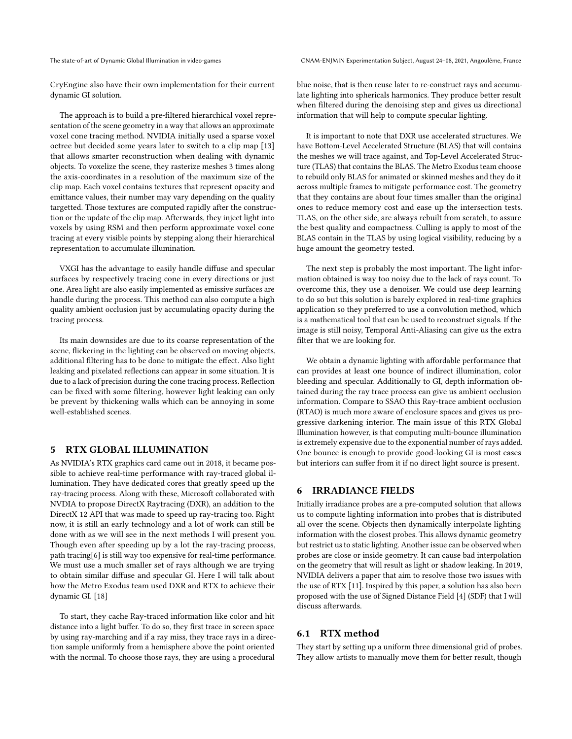CryEngine also have their own implementation for their current dynamic GI solution.

The approach is to build a pre-filtered hierarchical voxel representation of the scene geometry in a way that allows an approximate voxel cone tracing method. NVIDIA initially used a sparse voxel octree but decided some years later to switch to a clip map [\[13\]](#page-4-12) that allows smarter reconstruction when dealing with dynamic objects. To voxelize the scene, they rasterize meshes 3 times along the axis-coordinates in a resolution of the maximum size of the clip map. Each voxel contains textures that represent opacity and emittance values, their number may vary depending on the quality targetted. Those textures are computed rapidly after the construction or the update of the clip map. Afterwards, they inject light into voxels by using RSM and then perform approximate voxel cone tracing at every visible points by stepping along their hierarchical representation to accumulate illumination.

VXGI has the advantage to easily handle diffuse and specular surfaces by respectively tracing cone in every directions or just one. Area light are also easily implemented as emissive surfaces are handle during the process. This method can also compute a high quality ambient occlusion just by accumulating opacity during the tracing process.

Its main downsides are due to its coarse representation of the scene, flickering in the lighting can be observed on moving objects, additional filtering has to be done to mitigate the effect. Also light leaking and pixelated reflections can appear in some situation. It is due to a lack of precision during the cone tracing process. Reflection can be fixed with some filtering, however light leaking can only be prevent by thickening walls which can be annoying in some well-established scenes.

# 5 RTX GLOBAL ILLUMINATION

As NVIDIA's RTX graphics card came out in 2018, it became possible to achieve real-time performance with ray-traced global illumination. They have dedicated cores that greatly speed up the ray-tracing process. Along with these, Microsoft collaborated with NVDIA to propose DirectX Raytracing (DXR), an addition to the DirectX 12 API that was made to speed up ray-tracing too. Right now, it is still an early technology and a lot of work can still be done with as we will see in the next methods I will present you. Though even after speeding up by a lot the ray-tracing process, path tracing[\[6\]](#page-4-1) is still way too expensive for real-time performance. We must use a much smaller set of rays although we are trying to obtain similar diffuse and specular GI. Here I will talk about how the Metro Exodus team used DXR and RTX to achieve their dynamic GI. [\[18\]](#page-4-13)

To start, they cache Ray-traced information like color and hit distance into a light buffer. To do so, they first trace in screen space by using ray-marching and if a ray miss, they trace rays in a direction sample uniformly from a hemisphere above the point oriented with the normal. To choose those rays, they are using a procedural

The state-of-art of Dynamic Global Illumination in video-games CNAM-ENJMIN Experimentation Subject, August 24–08, 2021, Angoulême, France

blue noise, that is then reuse later to re-construct rays and accumulate lighting into sphericals harmonics. They produce better result when filtered during the denoising step and gives us directional information that will help to compute specular lighting.

It is important to note that DXR use accelerated structures. We have Bottom-Level Accelerated Structure (BLAS) that will contains the meshes we will trace against, and Top-Level Accelerated Structure (TLAS) that contains the BLAS. The Metro Exodus team choose to rebuild only BLAS for animated or skinned meshes and they do it across multiple frames to mitigate performance cost. The geometry that they contains are about four times smaller than the original ones to reduce memory cost and ease up the intersection tests. TLAS, on the other side, are always rebuilt from scratch, to assure the best quality and compactness. Culling is apply to most of the BLAS contain in the TLAS by using logical visibility, reducing by a huge amount the geometry tested.

The next step is probably the most important. The light information obtained is way too noisy due to the lack of rays count. To overcome this, they use a denoiser. We could use deep learning to do so but this solution is barely explored in real-time graphics application so they preferred to use a convolution method, which is a mathematical tool that can be used to reconstruct signals. If the image is still noisy, Temporal Anti-Aliasing can give us the extra filter that we are looking for.

We obtain a dynamic lighting with affordable performance that can provides at least one bounce of indirect illumination, color bleeding and specular. Additionally to GI, depth information obtained during the ray trace process can give us ambient occlusion information. Compare to SSAO this Ray-trace ambient occlusion (RTAO) is much more aware of enclosure spaces and gives us progressive darkening interior. The main issue of this RTX Global Illumination however, is that computing multi-bounce illumination is extremely expensive due to the exponential number of rays added. One bounce is enough to provide good-looking GI is most cases but interiors can suffer from it if no direct light source is present.

#### 6 IRRADIANCE FIELDS

Initially irradiance probes are a pre-computed solution that allows us to compute lighting information into probes that is distributed all over the scene. Objects then dynamically interpolate lighting information with the closest probes. This allows dynamic geometry but restrict us to static lighting. Another issue can be observed when probes are close or inside geometry. It can cause bad interpolation on the geometry that will result as light or shadow leaking. In 2019, NVIDIA delivers a paper that aim to resolve those two issues with the use of RTX [\[11\]](#page-4-14). Inspired by this paper, a solution has also been proposed with the use of Signed Distance Field [\[4\]](#page-4-15) (SDF) that I will discuss afterwards.

## 6.1 RTX method

They start by setting up a uniform three dimensional grid of probes. They allow artists to manually move them for better result, though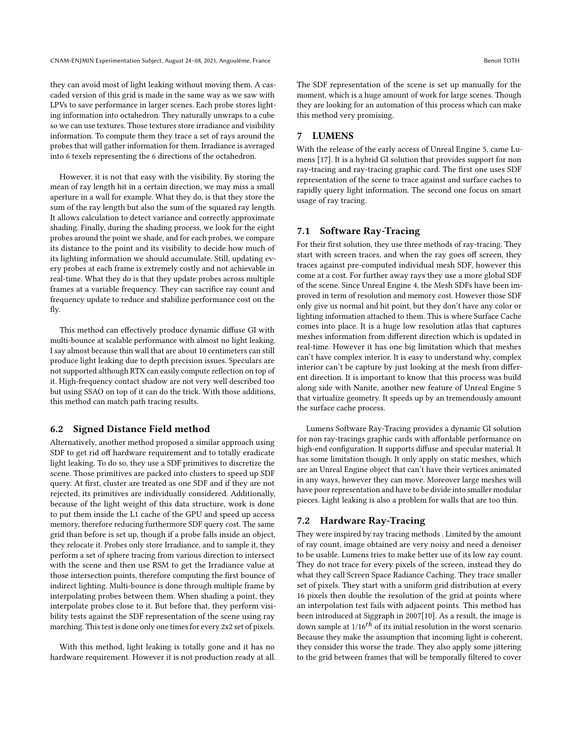they can avoid most of light leaking without moving them. A cascaded version of this grid is made in the same way as we saw with LPVs to save performance in larger scenes. Each probe stores lighting information into octahedron. They naturally unwraps to a cube so we can use textures. Those textures store irradiance and visibility information. To compute them they trace a set of rays around the probes that will gather information for them. Irradiance is averaged into 6 texels representing the 6 directions of the octahedron.

However, it is not that easy with the visibility. By storing the mean of ray length hit in a certain direction, we may miss a small aperture in a wall for example. What they do, is that they store the sum of the ray length but also the sum of the squared ray length. It allows calculation to detect variance and correctly approximate shading. Finally, during the shading process, we look for the eight probes around the point we shade, and for each probes, we compare its distance to the point and its visibility to decide how much of its lighting information we should accumulate. Still, updating every probes at each frame is extremely costly and not achievable in real-time. What they do is that they update probes across multiple frames at a variable frequency. They can sacrifice ray count and frequency update to reduce and stabilize performance cost on the fly.

This method can effectively produce dynamic diffuse GI with multi-bounce at scalable performance with almost no light leaking. I say almost because thin wall that are about 10 centimeters can still produce light leaking due to depth precision issues. Speculars are not supported although RTX can easily compute reflection on top of it. High-frequency contact shadow are not very well described too but using SSAO on top of it can do the trick. With those additions, this method can match path tracing results.

#### 6.2 Signed Distance Field method

Alternatively, another method proposed a similar approach using SDF to get rid off hardware requirement and to totally eradicate light leaking. To do so, they use a SDF primitives to discretize the scene. Those primitives are packed into clusters to speed up SDF query. At first, cluster are treated as one SDF and if they are not rejected, its primitives are individually considered. Additionally, because of the light weight of this data structure, work is done to put them inside the L1 cache of the GPU and speed up access memory, therefore reducing furthermore SDF query cost. The same grid than before is set up, though if a probe falls inside an object, they relocate it. Probes only store Irradiance, and to sample it, they perform a set of sphere tracing from various direction to intersect with the scene and then use RSM to get the Irradiance value at those intersection points, therefore computing the first bounce of indirect lighting. Multi-bounce is done through multiple frame by interpolating probes between them. When shading a point, they interpolate probes close to it. But before that, they perform visibility tests against the SDF representation of the scene using ray marching. This test is done only one times for every 2x2 set of pixels.

With this method, light leaking is totally gone and it has no hardware requirement. However it is not production ready at all. The SDF representation of the scene is set up manually for the moment, which is a huge amount of work for large scenes. Though they are looking for an automation of this process which can make this method very promising.

# 7 LUMENS

With the release of the early access of Unreal Engine 5, came Lumens [\[17\]](#page-4-16). It is a hybrid GI solution that provides support for non ray-tracing and ray-tracing graphic card. The first one uses SDF representation of the scene to trace against and surface caches to rapidly query light information. The second one focus on smart usage of ray tracing.

## 7.1 Software Ray-Tracing

For their first solution, they use three methods of ray-tracing. They start with screen traces, and when the ray goes off screen, they traces against pre-computed individual mesh SDF, however this come at a cost. For further away rays they use a more global SDF of the scene. Since Unreal Engine 4, the Mesh SDFs have been improved in term of resolution and memory cost. However those SDF only give us normal and hit point, but they don't have any color or lighting information attached to them. This is where Surface Cache comes into place. It is a huge low resolution atlas that captures meshes information from different direction which is updated in real-time. However it has one big limitation which that meshes can't have complex interior. It is easy to understand why, complex interior can't be capture by just looking at the mesh from different direction. It is important to know that this process was build along side with Nanite, another new feature of Unreal Engine 5 that virtualize geometry. It speeds up by an tremendously amount the surface cache process.

Lumens Software Ray-Tracing provides a dynamic GI solution for non ray-tracings graphic cards with affordable performance on high-end configuration. It supports diffuse and specular material. It has some limitation though. It only apply on static meshes, which are an Unreal Engine object that can't have their vertices animated in any ways, however they can move. Moreover large meshes will have poor representation and have to be divide into smaller modular pieces. Light leaking is also a problem for walls that are too thin.

#### 7.2 Hardware Ray-Tracing

They were inspired by ray tracing methods . Limited by the amount of ray count, image obtained are very noisy and need a denoiser to be usable. Lumens tries to make better use of its low ray count. They do not trace for every pixels of the screen, instead they do what they call Screen Space Radiance Caching. They trace smaller set of pixels. They start with a uniform grid distribution at every 16 pixels then double the resolution of the grid at points where an interpolation test fails with adjacent points. This method has been introduced at Siggraph in 2007[\[10\]](#page-4-17). As a result, the image is down sample at  $1/16^{th}$  of its initial resolution in the worst scenario. Because they make the assumption that incoming light is coherent, they consider this worse the trade. They also apply some jittering to the grid between frames that will be temporally filtered to cover